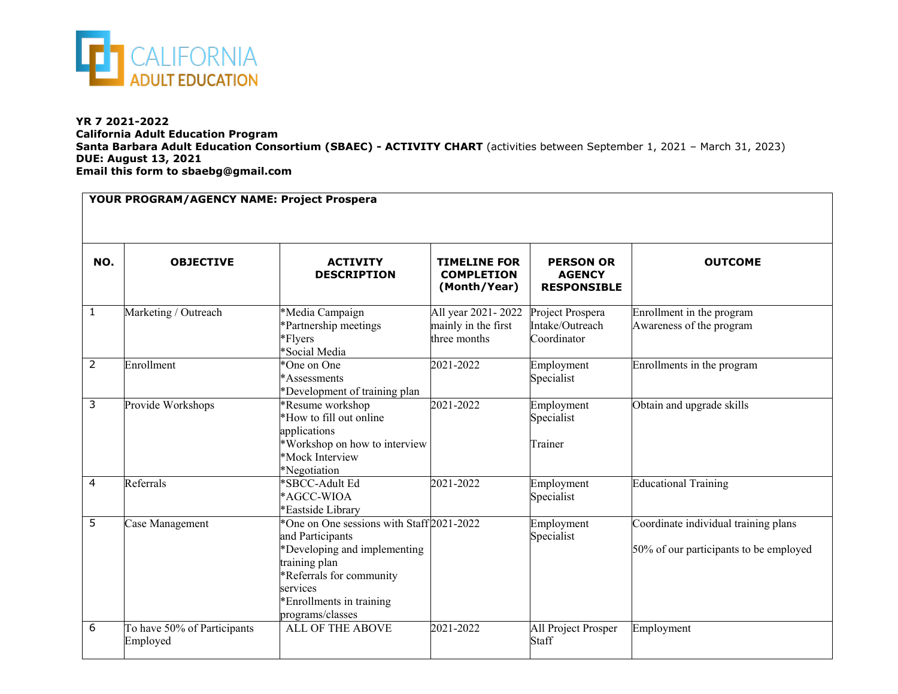

**YR 7 2021-2022 California Adult Education Program Santa Barbara Adult Education Consortium (SBAEC) - ACTIVITY CHART** (activities between September 1, 2021 – March 31, 2023) **DUE: August 13, 2021 Email this form to sbaebg@gmail.com**

| YOUR PROGRAM/AGENCY NAME: Project Prospera |                                         |                                                                                                                                                                                                        |                                                           |                                                         |                                                                                |  |  |  |
|--------------------------------------------|-----------------------------------------|--------------------------------------------------------------------------------------------------------------------------------------------------------------------------------------------------------|-----------------------------------------------------------|---------------------------------------------------------|--------------------------------------------------------------------------------|--|--|--|
| NO.                                        | <b>OBJECTIVE</b>                        | <b>ACTIVITY</b><br><b>DESCRIPTION</b>                                                                                                                                                                  | <b>TIMELINE FOR</b><br><b>COMPLETION</b><br>(Month/Year)  | <b>PERSON OR</b><br><b>AGENCY</b><br><b>RESPONSIBLE</b> | <b>OUTCOME</b>                                                                 |  |  |  |
| $\mathbf{1}$                               | Marketing / Outreach                    | *Media Campaign<br>*Partnership meetings<br>*Flyers<br>*Social Media                                                                                                                                   | All year 2021-2022<br>mainly in the first<br>three months | Project Prospera<br>Intake/Outreach<br>Coordinator      | Enrollment in the program<br>Awareness of the program                          |  |  |  |
| $\overline{2}$                             | Enrollment                              | *One on One<br>*Assessments<br>*Development of training plan                                                                                                                                           | 2021-2022                                                 | Employment<br>Specialist                                | Enrollments in the program                                                     |  |  |  |
| 3                                          | Provide Workshops                       | *Resume workshop<br>*How to fill out online<br>applications<br>*Workshop on how to interview<br>*Mock Interview<br>*Negotiation                                                                        | 2021-2022                                                 | Employment<br>Specialist<br>Trainer                     | Obtain and upgrade skills                                                      |  |  |  |
| 4                                          | Referrals                               | *SBCC-Adult Ed<br>*AGCC-WIOA<br>*Eastside Library                                                                                                                                                      | 2021-2022                                                 | Employment<br>Specialist                                | <b>Educational Training</b>                                                    |  |  |  |
| $\overline{5}$                             | Case Management                         | *One on One sessions with Staff 2021-2022<br>and Participants<br>*Developing and implementing<br>training plan<br>*Referrals for community<br>services<br>*Enrollments in training<br>programs/classes |                                                           | Employment<br>Specialist                                | Coordinate individual training plans<br>50% of our participants to be employed |  |  |  |
| 6                                          | To have 50% of Participants<br>Employed | <b>ALL OF THE ABOVE</b>                                                                                                                                                                                | 2021-2022                                                 | All Project Prosper<br>Staff                            | Employment                                                                     |  |  |  |